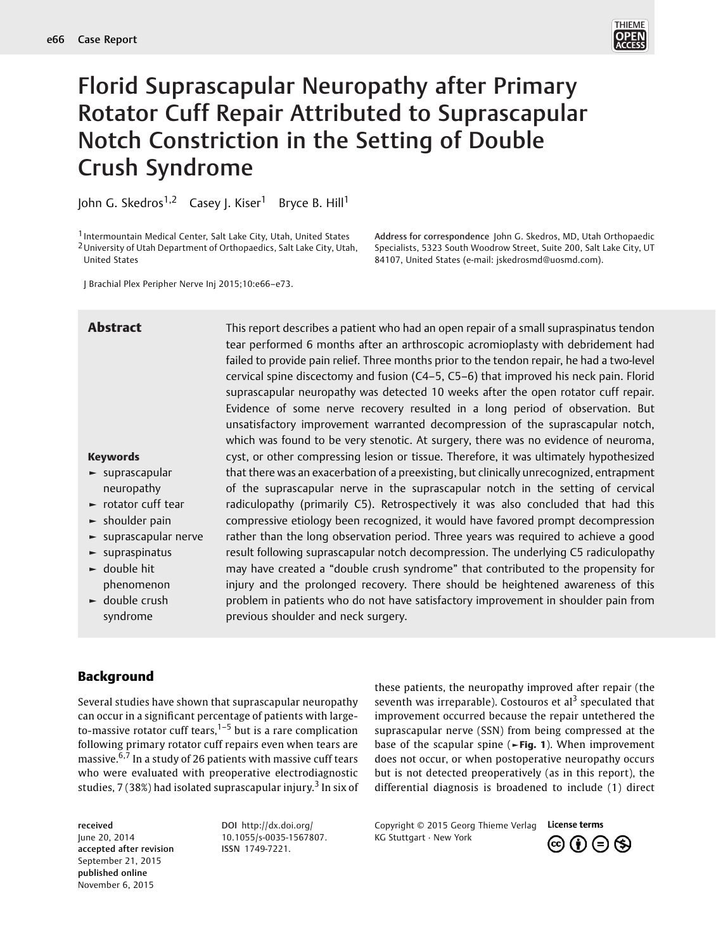

# Florid Suprascapular Neuropathy after Primary Rotator Cuff Repair Attributed to Suprascapular Notch Constriction in the Setting of Double Crush Syndrome

John G. Skedros<sup>1,2</sup> Casey J. Kiser<sup>1</sup> Bryce B. Hill<sup>1</sup>

1 Intermountain Medical Center, Salt Lake City, Utah, United States 2University of Utah Department of Orthopaedics, Salt Lake City, Utah,

Address for correspondence John G. Skedros, MD, Utah Orthopaedic Specialists, 5323 South Woodrow Street, Suite 200, Salt Lake City, UT 84107, United States (e-mail: [jskedrosmd@uosmd.com\)](mailto:jskedrosmd@uosmd.com).

J Brachial Plex Peripher Nerve Inj 2015;10:e66–e73.

United States

Keywords

- ► suprascapular neuropathy
- ► rotator cuff tear
- $\blacktriangleright$  shoulder pain
- ► suprascapular nerve
- ► supraspinatus
- ► double hit phenomenon
- ► double crush syndrome

Abstract This report describes a patient who had an open repair of a small supraspinatus tendon tear performed 6 months after an arthroscopic acromioplasty with debridement had failed to provide pain relief. Three months prior to the tendon repair, he had a two-level cervical spine discectomy and fusion (C4–5, C5–6) that improved his neck pain. Florid suprascapular neuropathy was detected 10 weeks after the open rotator cuff repair. Evidence of some nerve recovery resulted in a long period of observation. But unsatisfactory improvement warranted decompression of the suprascapular notch, which was found to be very stenotic. At surgery, there was no evidence of neuroma, cyst, or other compressing lesion or tissue. Therefore, it was ultimately hypothesized that there was an exacerbation of a preexisting, but clinically unrecognized, entrapment of the suprascapular nerve in the suprascapular notch in the setting of cervical radiculopathy (primarily C5). Retrospectively it was also concluded that had this compressive etiology been recognized, it would have favored prompt decompression rather than the long observation period. Three years was required to achieve a good result following suprascapular notch decompression. The underlying C5 radiculopathy may have created a "double crush syndrome" that contributed to the propensity for injury and the prolonged recovery. There should be heightened awareness of this problem in patients who do not have satisfactory improvement in shoulder pain from previous shoulder and neck surgery.

## Background

Several studies have shown that suprascapular neuropathy can occur in a significant percentage of patients with largeto-massive rotator cuff tears, $1-5$  but is a rare complication following primary rotator cuff repairs even when tears are massive.<sup>6,7</sup> In a study of 26 patients with massive cuff tears who were evaluated with preoperative electrodiagnostic studies,  $7(38%)$  had isolated suprascapular injury.<sup>3</sup> In six of

received June 20, 2014 accepted after revision September 21, 2015 published online November 6, 2015

DOI [http://dx.doi.org/](http://dx.doi.org/10.1055/s-0035-1567807) [10.1055/s-0035-1567807.](http://dx.doi.org/10.1055/s-0035-1567807) ISSN 1749-7221.

these patients, the neuropathy improved after repair (the seventh was irreparable). Costouros et al<sup>3</sup> speculated that improvement occurred because the repair untethered the suprascapular nerve (SSN) from being compressed at the base of the scapular spine ( $\blacktriangleright$ Fig. 1). When improvement does not occur, or when postoperative neuropathy occurs but is not detected preoperatively (as in this report), the differential diagnosis is broadened to include (1) direct

License terms Copyright © 2015 Georg Thieme Verlag KG Stuttgart · New York

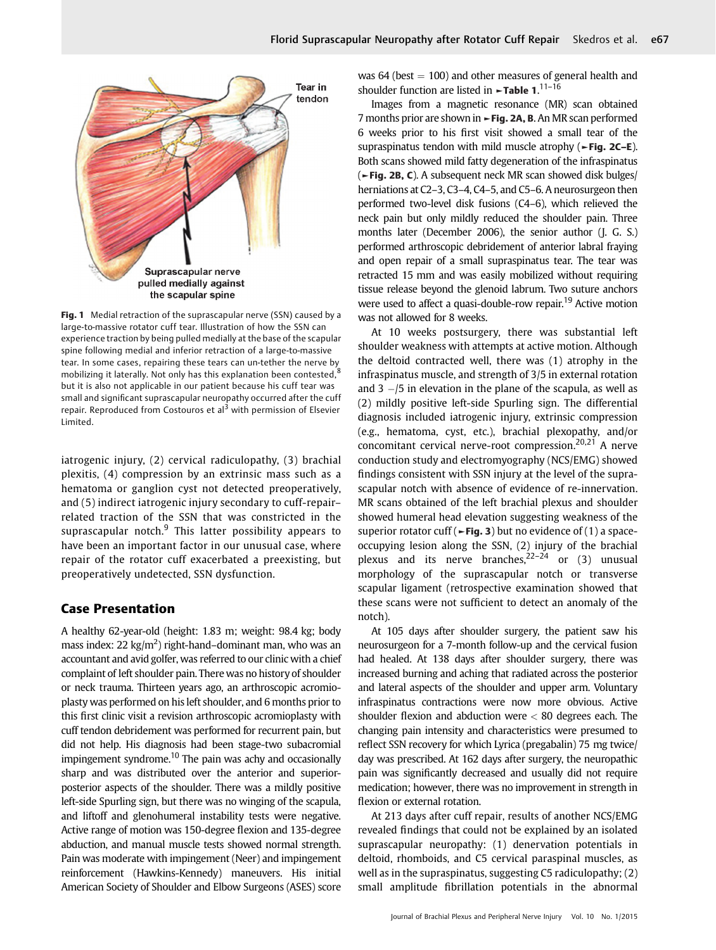

Fig. 1 Medial retraction of the suprascapular nerve (SSN) caused by a large-to-massive rotator cuff tear. Illustration of how the SSN can experience traction by being pulled medially at the base of the scapular spine following medial and inferior retraction of a large-to-massive tear. In some cases, repairing these tears can un-tether the nerve by mobilizing it laterally. Not only has this explanation been contested, ${}^{8}$ but it is also not applicable in our patient because his cuff tear was small and significant suprascapular neuropathy occurred after the cuff repair. Reproduced from Costouros et al<sup>3</sup> with permission of Elsevier Limited.

iatrogenic injury, (2) cervical radiculopathy, (3) brachial plexitis, (4) compression by an extrinsic mass such as a hematoma or ganglion cyst not detected preoperatively, and (5) indirect iatrogenic injury secondary to cuff-repair– related traction of the SSN that was constricted in the suprascapular notch. $9$  This latter possibility appears to have been an important factor in our unusual case, where repair of the rotator cuff exacerbated a preexisting, but preoperatively undetected, SSN dysfunction.

#### Case Presentation

A healthy 62-year-old (height: 1.83 m; weight: 98.4 kg; body mass index: 22 kg/m<sup>2</sup>) right-hand-dominant man, who was an accountant and avid golfer, was referred to our clinic with a chief complaint of left shoulder pain. There was no history of shoulder or neck trauma. Thirteen years ago, an arthroscopic acromioplasty was performed on his left shoulder, and 6 months prior to this first clinic visit a revision arthroscopic acromioplasty with cuff tendon debridement was performed for recurrent pain, but did not help. His diagnosis had been stage-two subacromial impingement syndrome.<sup>10</sup> The pain was achy and occasionally sharp and was distributed over the anterior and superiorposterior aspects of the shoulder. There was a mildly positive left-side Spurling sign, but there was no winging of the scapula, and liftoff and glenohumeral instability tests were negative. Active range of motion was 150-degree flexion and 135-degree abduction, and manual muscle tests showed normal strength. Pain was moderate with impingement (Neer) and impingement reinforcement (Hawkins-Kennedy) maneuvers. His initial American Society of Shoulder and Elbow Surgeons (ASES) score

was 64 (best  $= 100$ ) and other measures of general health and shoulder function are listed in  $\blacktriangleright$  Table 1.<sup>11–16</sup>

Images from a magnetic resonance (MR) scan obtained 7 months prior are shown in ►Fig. 2A, B. An MR scan performed 6 weeks prior to his first visit showed a small tear of the supraspinatus tendon with mild muscle atrophy (►Fig. 2C–E). Both scans showed mild fatty degeneration of the infraspinatus (►Fig. 2B, C). A subsequent neck MR scan showed disk bulges/ herniations at C2–3, C3–4, C4–5, and C5–6. A neurosurgeon then performed two-level disk fusions (C4–6), which relieved the neck pain but only mildly reduced the shoulder pain. Three months later (December 2006), the senior author (J. G. S.) performed arthroscopic debridement of anterior labral fraying and open repair of a small supraspinatus tear. The tear was retracted 15 mm and was easily mobilized without requiring tissue release beyond the glenoid labrum. Two suture anchors were used to affect a quasi-double-row repair.<sup>19</sup> Active motion was not allowed for 8 weeks.

At 10 weeks postsurgery, there was substantial left shoulder weakness with attempts at active motion. Although the deltoid contracted well, there was (1) atrophy in the infraspinatus muscle, and strength of 3/5 in external rotation and  $3 - 5$  in elevation in the plane of the scapula, as well as (2) mildly positive left-side Spurling sign. The differential diagnosis included iatrogenic injury, extrinsic compression (e.g., hematoma, cyst, etc.), brachial plexopathy, and/or concomitant cervical nerve-root compression.<sup>20,21</sup> A nerve conduction study and electromyography (NCS/EMG) showed findings consistent with SSN injury at the level of the suprascapular notch with absence of evidence of re-innervation. MR scans obtained of the left brachial plexus and shoulder showed humeral head elevation suggesting weakness of the superior rotator cuff ( $\blacktriangleright$  Fig. 3) but no evidence of (1) a spaceoccupying lesion along the SSN, (2) injury of the brachial plexus and its nerve branches, $22-24$  or (3) unusual morphology of the suprascapular notch or transverse scapular ligament (retrospective examination showed that these scans were not sufficient to detect an anomaly of the notch).

At 105 days after shoulder surgery, the patient saw his neurosurgeon for a 7-month follow-up and the cervical fusion had healed. At 138 days after shoulder surgery, there was increased burning and aching that radiated across the posterior and lateral aspects of the shoulder and upper arm. Voluntary infraspinatus contractions were now more obvious. Active shoulder flexion and abduction were  $<$  80 degrees each. The changing pain intensity and characteristics were presumed to reflect SSN recovery for which Lyrica (pregabalin) 75 mg twice/ day was prescribed. At 162 days after surgery, the neuropathic pain was significantly decreased and usually did not require medication; however, there was no improvement in strength in flexion or external rotation.

At 213 days after cuff repair, results of another NCS/EMG revealed findings that could not be explained by an isolated suprascapular neuropathy: (1) denervation potentials in deltoid, rhomboids, and C5 cervical paraspinal muscles, as well as in the supraspinatus, suggesting C5 radiculopathy; (2) small amplitude fibrillation potentials in the abnormal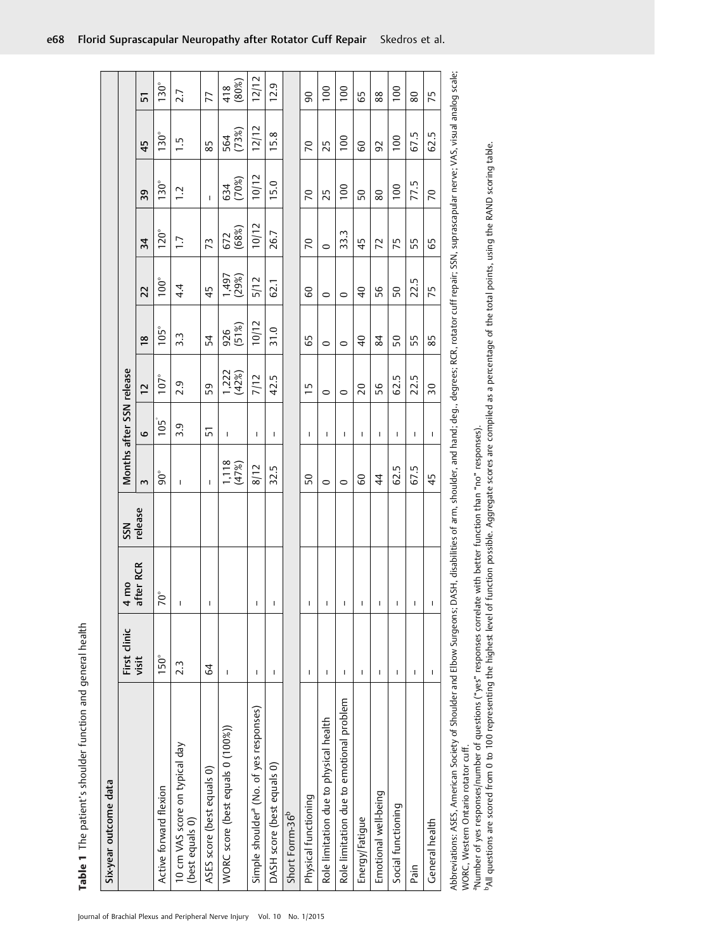| Six-year outcome data                                                 |                          |                                                                                                                                            |         |                |                          |                 |                 |                |              |              |                 |                 |
|-----------------------------------------------------------------------|--------------------------|--------------------------------------------------------------------------------------------------------------------------------------------|---------|----------------|--------------------------|-----------------|-----------------|----------------|--------------|--------------|-----------------|-----------------|
|                                                                       | First clinic             | 4 mo                                                                                                                                       | SSN     |                | Months after SSN release |                 |                 |                |              |              |                 |                 |
|                                                                       | visit                    | after RCR                                                                                                                                  | release | $\sim$         | 6                        | $\overline{2}$  | $\frac{8}{2}$   | 22             | 34           | 39           | 45              | 57              |
| Active forward flexion                                                | 150°                     | $70^\circ$                                                                                                                                 |         | $90^\circ$     | 105                      | $107^{\circ}$   | $105^\circ$     | $100^\circ$    | $120^\circ$  | $130^\circ$  | $130^\circ$     | $130^\circ$     |
| 10 cm VAS score on typical day<br>(best equals 0)                     | 2.3                      |                                                                                                                                            |         | $\mathbf{I}$   | 3.9                      | 2.9             | 3.3             | $4\cdot$       | $\ddot{ }$ : | $\ddot{ }$ . | $\ddot{1}$      | 2.7             |
| ASES score (best equals 0)                                            | 64                       |                                                                                                                                            |         | $\mathsf{I}$   | 5                        | 59              | 54              | 45             | 73           | $\mathbf{I}$ | 85              | 77              |
| WORC score (best equals 0 (100%))                                     | L                        |                                                                                                                                            |         | 1,118<br>(47%) | I                        | 1,222<br>(42%)  | (51%)<br>926    | 1,497<br>(29%) | (68%)<br>672 | (70%)<br>634 | (73%)<br>564    | (80%)<br>418    |
| Simple shoulder <sup>ª</sup> (No. of yes responses)                   | $\mathbf{I}$             | L                                                                                                                                          |         | 8/12           | I                        | 7/12            | 10/12           | 5/12           | 10/12        | 10/12        | 12/12           | 12/12           |
| DASH score (best equals 0)                                            | I                        |                                                                                                                                            |         | 32.5           | I                        | 42.5            | 31.0            | 62.1           | 26.7         | 15.0         | 15.8            | 12.9            |
| Short Forrm-36 <sup>b</sup>                                           |                          |                                                                                                                                            |         |                |                          |                 |                 |                |              |              |                 |                 |
| Physical functioning                                                  | I                        |                                                                                                                                            |         | 50             | I                        | $\frac{5}{1}$   | 65              | 60             | 70           | 70           | 70              | $\overline{6}$  |
| Role limitation due to physical health                                | $\overline{\phantom{a}}$ | I.                                                                                                                                         |         | $\circ$        | $\mathbf{I}$             | $\circ$         | $\circ$         | $\circ$        | $\circ$      | 25           | 25              | 100             |
| Role limitation due to emotional problem                              | $\mathbf{I}$             |                                                                                                                                            |         | $\circ$        | $\mathbf{I}$             | $\circ$         | $\circ$         | $\circ$        | 33.3         | 100          | 100             | $\overline{00}$ |
| Energy/Fatigue                                                        | $\mathbf{I}$             |                                                                                                                                            |         | 60             | $\mathsf{I}$             | 20              | $\overline{40}$ | $\overline{4}$ | 45           | 50           | 60              | 65              |
| Emotional well-being                                                  | I                        |                                                                                                                                            |         | $\frac{4}{4}$  | I                        | 56              | 84              | 56             | 72           | 80           | 92              | 88              |
| Social functioning                                                    | $\mathsf{I}$             | L                                                                                                                                          |         | 62.5           | $\mathsf{I}$             | Lņ<br>62.       | 50              | 50             | 75           | 100          | $\overline{00}$ | 100             |
| Pain                                                                  | $\mathbf{I}$             |                                                                                                                                            |         | 67.5           | $\mathbf{I}$             | 22.5            | 55              | 22.5           | 55           | 77.5         | 67.5            | 80              |
| General health                                                        | I                        |                                                                                                                                            |         | 45             | I                        | $\overline{30}$ | 85              | 75             | 59           | 70           | 62.5            | 75              |
| Abbreviations: ASES, American Society of Shoulder and Elbow Surgeons; |                          | DASH, disabilities of arm, shoulder, and hand; deg, degrees; RCR, rotator cuff repair; SSN, suprascapular nerve; VAS, visual analog scale; |         |                |                          |                 |                 |                |              |              |                 |                 |

Table 1 The patient's shoulder function and general health Table 1 The patient's shoulder function and general health

WORC, Western Ontario rotator cuff.<br>"Number of yes responses/number of questions ("yes" responses correlate with better function than "no" responses).<br><sup>b</sup>All questions are scored from 0 to 100 representing the highest leve WORC, Western Ontario rotator cuff.

"Number of yes responses/number of questions ("yes" responses correlate with better function than "no" responses).<br>"All questions are scored from 0 to 100 representing the highest level of function possible. Aggregate scor

Journal of Brachial Plexus and Peripheral Nerve Injury Vol. 10 No. 1/2015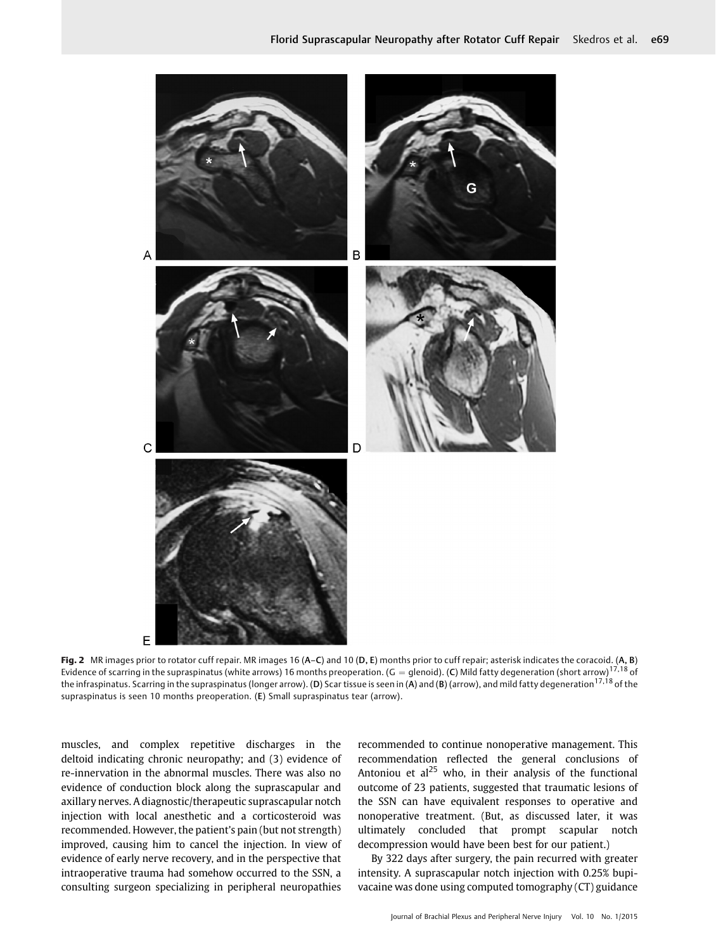

Fig. 2 MR images prior to rotator cuff repair. MR images 16 (A–C) and 10 (D, E) months prior to cuff repair; asterisk indicates the coracoid. (A, B) Evidence of scarring in the supraspinatus (white arrows) 16 months preoperation. (G = glenoid). (C) Mild fatty degeneration (short arrow)<sup>17,18</sup> of the infraspinatus. Scarring in the supraspinatus (longer arrow). (D) Scar tissue is seen in (A) and (B) (arrow), and mild fatty degeneration<sup>17,18</sup> of the supraspinatus is seen 10 months preoperation. (E) Small supraspinatus tear (arrow).

muscles, and complex repetitive discharges in the deltoid indicating chronic neuropathy; and (3) evidence of re-innervation in the abnormal muscles. There was also no evidence of conduction block along the suprascapular and axillary nerves. A diagnostic/therapeutic suprascapular notch injection with local anesthetic and a corticosteroid was recommended. However, the patient's pain (but not strength) improved, causing him to cancel the injection. In view of evidence of early nerve recovery, and in the perspective that intraoperative trauma had somehow occurred to the SSN, a consulting surgeon specializing in peripheral neuropathies

recommended to continue nonoperative management. This recommendation reflected the general conclusions of Antoniou et  $al^{25}$  who, in their analysis of the functional outcome of 23 patients, suggested that traumatic lesions of the SSN can have equivalent responses to operative and nonoperative treatment. (But, as discussed later, it was ultimately concluded that prompt scapular notch decompression would have been best for our patient.)

By 322 days after surgery, the pain recurred with greater intensity. A suprascapular notch injection with 0.25% bupivacaine was done using computed tomography (CT) guidance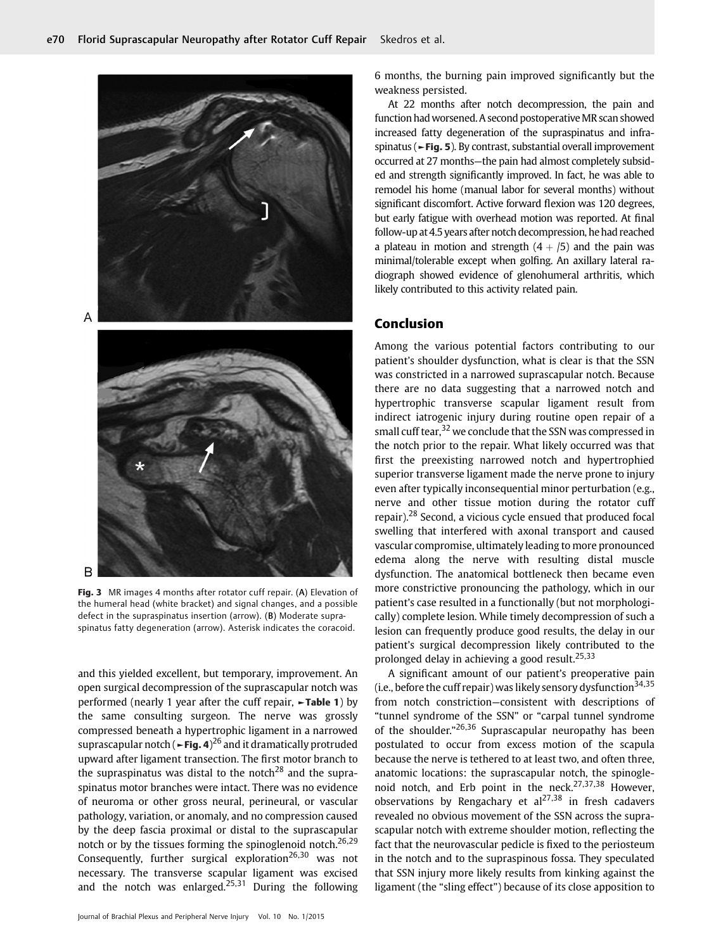

Fig. 3 MR images 4 months after rotator cuff repair. (A) Elevation of the humeral head (white bracket) and signal changes, and a possible defect in the supraspinatus insertion (arrow). (B) Moderate supraspinatus fatty degeneration (arrow). Asterisk indicates the coracoid.

and this yielded excellent, but temporary, improvement. An open surgical decompression of the suprascapular notch was performed (nearly 1 year after the cuff repair,  $\blacktriangleright$ Table 1) by the same consulting surgeon. The nerve was grossly compressed beneath a hypertrophic ligament in a narrowed suprascapular notch (  $\sim$  Fig. 4) $^{26}$  and it dramatically protruded upward after ligament transection. The first motor branch to the supraspinatus was distal to the notch<sup>28</sup> and the supraspinatus motor branches were intact. There was no evidence of neuroma or other gross neural, perineural, or vascular pathology, variation, or anomaly, and no compression caused by the deep fascia proximal or distal to the suprascapular notch or by the tissues forming the spinoglenoid notch.<sup>26,29</sup> Consequently, further surgical exploration<sup>26,30</sup> was not necessary. The transverse scapular ligament was excised and the notch was enlarged.<sup>25,31</sup> During the following

Journal of Brachial Plexus and Peripheral Nerve Injury Vol. 10 No. 1/2015

6 months, the burning pain improved significantly but the weakness persisted.

At 22 months after notch decompression, the pain and function had worsened. A second postoperative MR scan showed increased fatty degeneration of the supraspinatus and infraspinatus (►Fig. 5). By contrast, substantial overall improvement occurred at 27 months—the pain had almost completely subsided and strength significantly improved. In fact, he was able to remodel his home (manual labor for several months) without significant discomfort. Active forward flexion was 120 degrees, but early fatigue with overhead motion was reported. At final follow-up at 4.5 years after notch decompression, he had reached a plateau in motion and strength  $(4 + 5)$  and the pain was minimal/tolerable except when golfing. An axillary lateral radiograph showed evidence of glenohumeral arthritis, which likely contributed to this activity related pain.

### Conclusion

Among the various potential factors contributing to our patient's shoulder dysfunction, what is clear is that the SSN was constricted in a narrowed suprascapular notch. Because there are no data suggesting that a narrowed notch and hypertrophic transverse scapular ligament result from indirect iatrogenic injury during routine open repair of a small cuff tear,<sup>32</sup> we conclude that the SSN was compressed in the notch prior to the repair. What likely occurred was that first the preexisting narrowed notch and hypertrophied superior transverse ligament made the nerve prone to injury even after typically inconsequential minor perturbation (e.g., nerve and other tissue motion during the rotator cuff repair).<sup>28</sup> Second, a vicious cycle ensued that produced focal swelling that interfered with axonal transport and caused vascular compromise, ultimately leading to more pronounced edema along the nerve with resulting distal muscle dysfunction. The anatomical bottleneck then became even more constrictive pronouncing the pathology, which in our patient's case resulted in a functionally (but not morphologically) complete lesion. While timely decompression of such a lesion can frequently produce good results, the delay in our patient's surgical decompression likely contributed to the prolonged delay in achieving a good result.<sup>25,33</sup>

A significant amount of our patient's preoperative pain (i.e., before the cuff repair) was likely sensory dysfunction  $34,35$ from notch constriction—consistent with descriptions of "tunnel syndrome of the SSN" or "carpal tunnel syndrome of the shoulder."<sup>26,36</sup> Suprascapular neuropathy has been postulated to occur from excess motion of the scapula because the nerve is tethered to at least two, and often three, anatomic locations: the suprascapular notch, the spinoglenoid notch, and Erb point in the neck.<sup>27,37,38</sup> However, observations by Rengachary et  $al^{27,38}$  in fresh cadavers revealed no obvious movement of the SSN across the suprascapular notch with extreme shoulder motion, reflecting the fact that the neurovascular pedicle is fixed to the periosteum in the notch and to the supraspinous fossa. They speculated that SSN injury more likely results from kinking against the ligament (the "sling effect") because of its close apposition to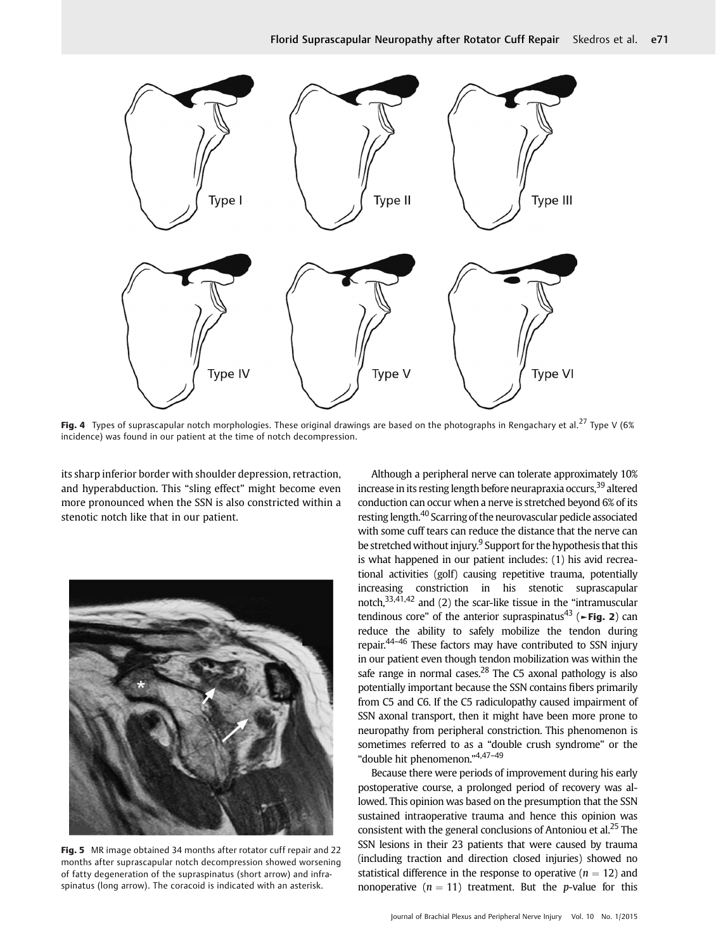

Fig. 4 Types of suprascapular notch morphologies. These original drawings are based on the photographs in Rengachary et al.<sup>27</sup> Type V (6% incidence) was found in our patient at the time of notch decompression.

its sharp inferior border with shoulder depression, retraction, and hyperabduction. This "sling effect" might become even more pronounced when the SSN is also constricted within a stenotic notch like that in our patient.



Fig. 5 MR image obtained 34 months after rotator cuff repair and 22 months after suprascapular notch decompression showed worsening of fatty degeneration of the supraspinatus (short arrow) and infraspinatus (long arrow). The coracoid is indicated with an asterisk.

Although a peripheral nerve can tolerate approximately 10% increase in its resting length before neurapraxia occurs,<sup>39</sup> altered conduction can occur when a nerve is stretched beyond 6% of its resting length.<sup>40</sup> Scarring of the neurovascular pedicle associated with some cuff tears can reduce the distance that the nerve can be stretched without injury.<sup>9</sup> Support for the hypothesis that this is what happened in our patient includes: (1) his avid recreational activities (golf) causing repetitive trauma, potentially increasing constriction in his stenotic suprascapular notch, $33,41,42$  and (2) the scar-like tissue in the "intramuscular tendinous core" of the anterior supraspinatus<sup>43</sup> ( $\blacktriangleright$ **Fig. 2**) can reduce the ability to safely mobilize the tendon during repair.44–<sup>46</sup> These factors may have contributed to SSN injury in our patient even though tendon mobilization was within the safe range in normal cases.<sup>28</sup> The C5 axonal pathology is also potentially important because the SSN contains fibers primarily from C5 and C6. If the C5 radiculopathy caused impairment of SSN axonal transport, then it might have been more prone to neuropathy from peripheral constriction. This phenomenon is sometimes referred to as a "double crush syndrome" or the "double hit phenomenon." 4,47–49

Because there were periods of improvement during his early postoperative course, a prolonged period of recovery was allowed. This opinion was based on the presumption that the SSN sustained intraoperative trauma and hence this opinion was consistent with the general conclusions of Antoniou et al.<sup>25</sup> The SSN lesions in their 23 patients that were caused by trauma (including traction and direction closed injuries) showed no statistical difference in the response to operative ( $n = 12$ ) and nonoperative  $(n = 11)$  treatment. But the *p*-value for this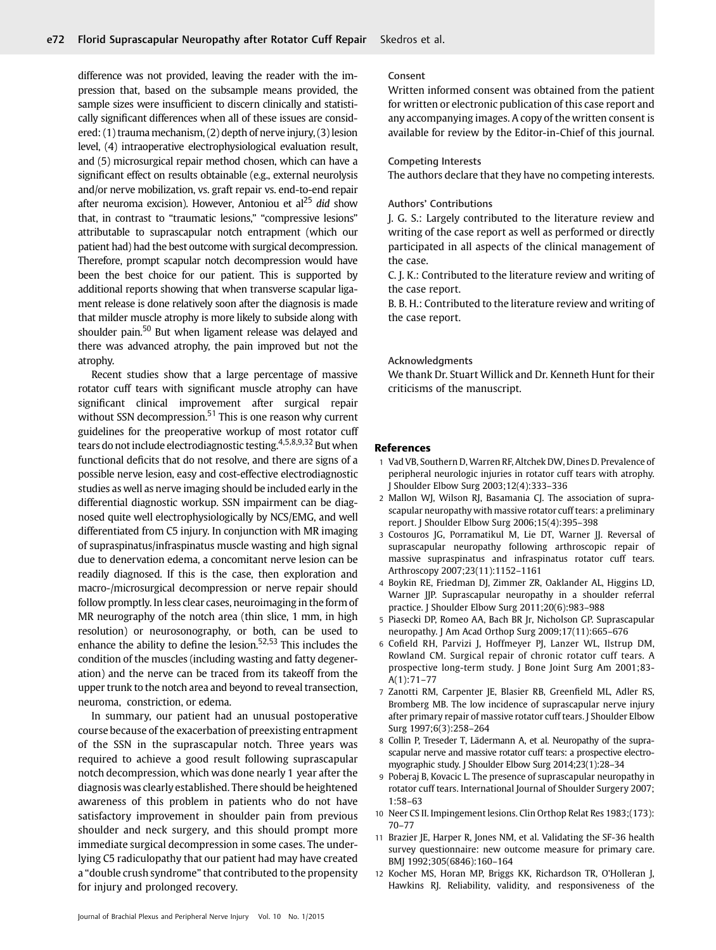difference was not provided, leaving the reader with the impression that, based on the subsample means provided, the sample sizes were insufficient to discern clinically and statistically significant differences when all of these issues are considered: (1) trauma mechanism, (2) depth of nerve injury, (3) lesion level, (4) intraoperative electrophysiological evaluation result, and (5) microsurgical repair method chosen, which can have a significant effect on results obtainable (e.g., external neurolysis and/or nerve mobilization, vs. graft repair vs. end-to-end repair after neuroma excision). However, Antoniou et  $al^{25}$  did show that, in contrast to "traumatic lesions," "compressive lesions" attributable to suprascapular notch entrapment (which our patient had) had the best outcome with surgical decompression. Therefore, prompt scapular notch decompression would have been the best choice for our patient. This is supported by additional reports showing that when transverse scapular ligament release is done relatively soon after the diagnosis is made that milder muscle atrophy is more likely to subside along with shoulder pain.<sup>50</sup> But when ligament release was delayed and there was advanced atrophy, the pain improved but not the atrophy.

Recent studies show that a large percentage of massive rotator cuff tears with significant muscle atrophy can have significant clinical improvement after surgical repair without SSN decompression. $51$  This is one reason why current guidelines for the preoperative workup of most rotator cuff tears do not include electrodiagnostic testing.<sup>4,5,8,9,32</sup> But when functional deficits that do not resolve, and there are signs of a possible nerve lesion, easy and cost-effective electrodiagnostic studies as well as nerve imaging should be included early in the differential diagnostic workup. SSN impairment can be diagnosed quite well electrophysiologically by NCS/EMG, and well differentiated from C5 injury. In conjunction with MR imaging of supraspinatus/infraspinatus muscle wasting and high signal due to denervation edema, a concomitant nerve lesion can be readily diagnosed. If this is the case, then exploration and macro-/microsurgical decompression or nerve repair should follow promptly. In less clear cases, neuroimaging in the form of MR neurography of the notch area (thin slice, 1 mm, in high resolution) or neurosonography, or both, can be used to enhance the ability to define the lesion.<sup>52,53</sup> This includes the condition of the muscles (including wasting and fatty degeneration) and the nerve can be traced from its takeoff from the upper trunk to the notch area and beyond to reveal transection, neuroma, constriction, or edema.

In summary, our patient had an unusual postoperative course because of the exacerbation of preexisting entrapment of the SSN in the suprascapular notch. Three years was required to achieve a good result following suprascapular notch decompression, which was done nearly 1 year after the diagnosis was clearly established. There should be heightened awareness of this problem in patients who do not have satisfactory improvement in shoulder pain from previous shoulder and neck surgery, and this should prompt more immediate surgical decompression in some cases. The underlying C5 radiculopathy that our patient had may have created a "double crush syndrome" that contributed to the propensity for injury and prolonged recovery.

#### Consent

Written informed consent was obtained from the patient for written or electronic publication of this case report and any accompanying images. A copy of the written consent is available for review by the Editor-in-Chief of this journal.

#### Competing Interests

The authors declare that they have no competing interests.

#### Authors' Contributions

J. G. S.: Largely contributed to the literature review and writing of the case report as well as performed or directly participated in all aspects of the clinical management of the case.

C. J. K.: Contributed to the literature review and writing of the case report.

B. B. H.: Contributed to the literature review and writing of the case report.

#### Acknowledgments

We thank Dr. Stuart Willick and Dr. Kenneth Hunt for their criticisms of the manuscript.

#### References

- 1 Vad VB, Southern D, Warren RF, Altchek DW, Dines D. Prevalence of peripheral neurologic injuries in rotator cuff tears with atrophy. J Shoulder Elbow Surg 2003;12(4):333–336
- 2 Mallon WJ, Wilson RJ, Basamania CJ. The association of suprascapular neuropathy with massive rotator cuff tears: a preliminary report. J Shoulder Elbow Surg 2006;15(4):395–398
- 3 Costouros JG, Porramatikul M, Lie DT, Warner JJ. Reversal of suprascapular neuropathy following arthroscopic repair of massive supraspinatus and infraspinatus rotator cuff tears. Arthroscopy 2007;23(11):1152–1161
- 4 Boykin RE, Friedman DJ, Zimmer ZR, Oaklander AL, Higgins LD, Warner JJP. Suprascapular neuropathy in a shoulder referral practice. J Shoulder Elbow Surg 2011;20(6):983–988
- 5 Piasecki DP, Romeo AA, Bach BR Jr, Nicholson GP. Suprascapular neuropathy. J Am Acad Orthop Surg 2009;17(11):665–676
- 6 Cofield RH, Parvizi J, Hoffmeyer PJ, Lanzer WL, Ilstrup DM, Rowland CM. Surgical repair of chronic rotator cuff tears. A prospective long-term study. J Bone Joint Surg Am 2001;83- A(1):71–77
- 7 Zanotti RM, Carpenter JE, Blasier RB, Greenfield ML, Adler RS, Bromberg MB. The low incidence of suprascapular nerve injury after primary repair of massive rotator cuff tears. J Shoulder Elbow Surg 1997;6(3):258–264
- 8 Collin P, Treseder T, Lädermann A, et al. Neuropathy of the suprascapular nerve and massive rotator cuff tears: a prospective electromyographic study. J Shoulder Elbow Surg 2014;23(1):28–34
- 9 Poberaj B, Kovacic L. The presence of suprascapular neuropathy in rotator cuff tears. International Journal of Shoulder Surgery 2007; 1:58–63
- 10 Neer CS II. Impingement lesions. Clin Orthop Relat Res 1983;(173): 70–77
- 11 Brazier JE, Harper R, Jones NM, et al. Validating the SF-36 health survey questionnaire: new outcome measure for primary care. BMJ 1992;305(6846):160–164
- 12 Kocher MS, Horan MP, Briggs KK, Richardson TR, O'Holleran J, Hawkins RJ. Reliability, validity, and responsiveness of the